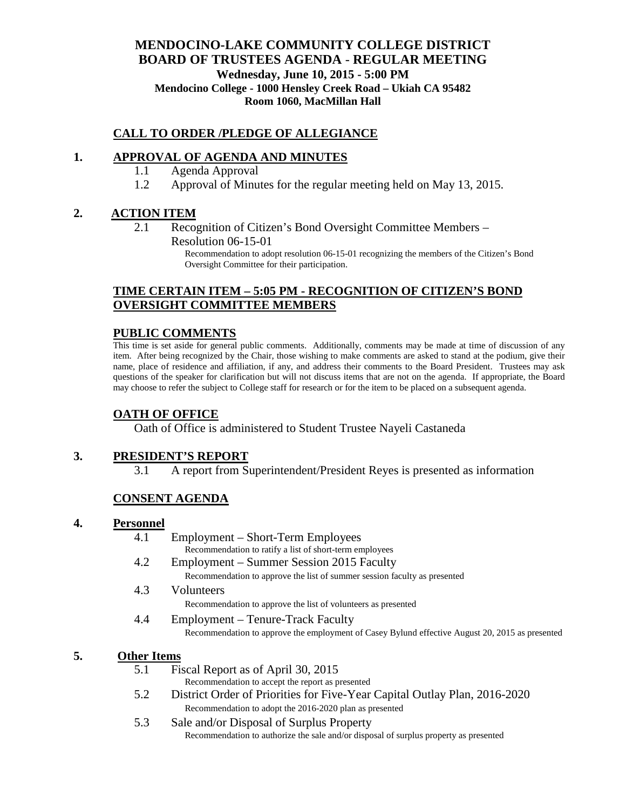### **MENDOCINO-LAKE COMMUNITY COLLEGE DISTRICT BOARD OF TRUSTEES AGENDA** - **REGULAR MEETING Wednesday, June 10, 2015 - 5:00 PM Mendocino College - 1000 Hensley Creek Road – Ukiah CA 95482 Room 1060, MacMillan Hall**

#### **CALL TO ORDER /PLEDGE OF ALLEGIANCE**

### **1. APPROVAL OF AGENDA AND MINUTES**

- 1.1 Agenda Approval
- 1.2 Approval of Minutes for the regular meeting held on May 13, 2015.

### **2. ACTION ITEM**

2.1 Recognition of Citizen's Bond Oversight Committee Members – Resolution 06-15-01

> Recommendation to adopt resolution 06-15-01 recognizing the members of the Citizen's Bond Oversight Committee for their participation.

### **TIME CERTAIN ITEM – 5:05 PM - RECOGNITION OF CITIZEN'S BOND OVERSIGHT COMMITTEE MEMBERS**

#### **PUBLIC COMMENTS**

This time is set aside for general public comments. Additionally, comments may be made at time of discussion of any item. After being recognized by the Chair, those wishing to make comments are asked to stand at the podium, give their name, place of residence and affiliation, if any, and address their comments to the Board President. Trustees may ask questions of the speaker for clarification but will not discuss items that are not on the agenda. If appropriate, the Board may choose to refer the subject to College staff for research or for the item to be placed on a subsequent agenda.

#### **OATH OF OFFICE**

Oath of Office is administered to Student Trustee Nayeli Castaneda

#### **3. PRESIDENT'S REPORT**

3.1 A report from Superintendent/President Reyes is presented as information

#### **CONSENT AGENDA**

#### **4. Personnel**

- 4.1 Employment Short-Term Employees
	- Recommendation to ratify a list of short-term employees
- 4.2 Employment Summer Session 2015 Faculty Recommendation to approve the list of summer session faculty as presented
- 4.3 Volunteers
	- Recommendation to approve the list of volunteers as presented
- 4.4 Employment Tenure-Track Faculty Recommendation to approve the employment of Casey Bylund effective August 20, 2015 as presented

#### **5. Other Items**

- 5.1 Fiscal Report as of April 30, 2015
	- Recommendation to accept the report as presented
- 5.2 District Order of Priorities for Five-Year Capital Outlay Plan, 2016-2020 Recommendation to adopt the 2016-2020 plan as presented
- 5.3 Sale and/or Disposal of Surplus Property Recommendation to authorize the sale and/or disposal of surplus property as presented